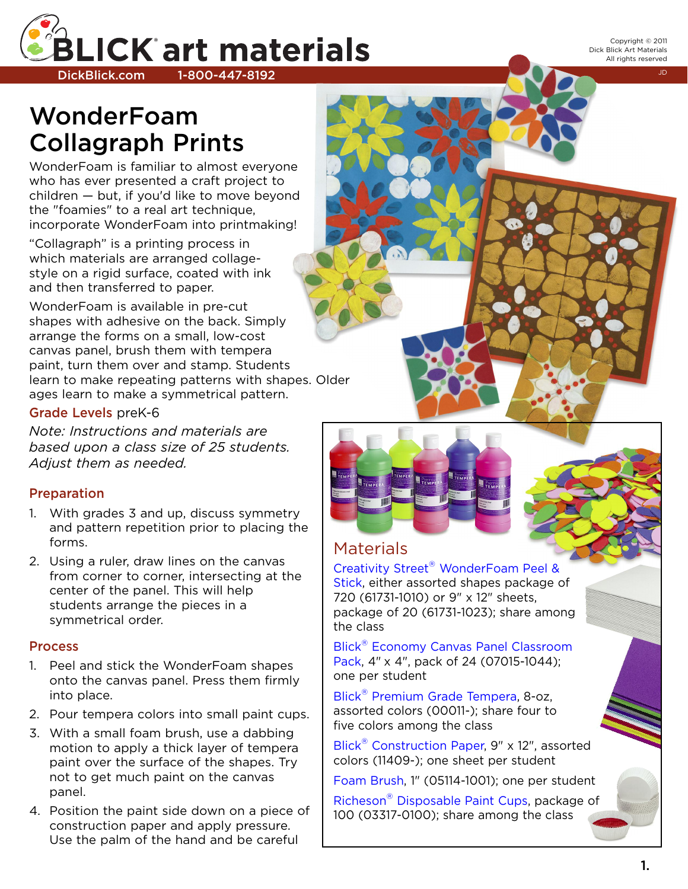

Copyright © 2011 Dick Blick Art Materials All rights reserved

# **WonderFoam Collagraph Prints**

WonderFoam is familiar to almost everyone who has ever presented a craft project to children — but, if you'd like to move beyond the "foamies" to a real art technique, incorporate WonderFoam into printmaking!

"Collagraph" is a printing process in which materials are arranged collagestyle on a rigid surface, coated with ink and then transferred to paper.

WonderFoam is available in pre-cut shapes with adhesive on the back. Simply arrange the forms on a small, low-cost canvas panel, brush them with tempera paint, turn them over and stamp. Students learn to make repeating patterns with shapes. Older ages learn to make a symmetrical pattern.

### **Grade Levels** preK-6

*Note: Instructions and materials are based upon a class size of 25 students. Adjust them as needed.*

# **Preparation**

- 1. With grades 3 and up, discuss symmetry and pattern repetition prior to placing the forms.
- 2. Using a ruler, draw lines on the canvas from corner to corner, intersecting at the center of the panel. This will help students arrange the pieces in a symmetrical order.

# **Process**

- 1. Peel and stick the WonderFoam shapes onto the canvas panel. Press them firmly into place.
- 2. Pour tempera colors into small paint cups.
- 3. With a small foam brush, use a dabbing motion to apply a thick layer of tempera paint over the surface of the shapes. Try not to get much paint on the canvas panel.
- 4. Position the paint side down on a piece of construction paper and apply pressure. Use the palm of the hand and be careful



# Materials

# Creativity Street ® [WonderFoam](http://www.dickblick.com/products/creativity-street-wonderfoam-peel-and-stick-shapes/) Peel &

[Stick,](http://www.dickblick.com/products/creativity-street-wonderfoam-peel-and-stick-shapes/) either assorted shapes package of 720 (61731-1010) or 9" x 12" sheets, package of 20 (61731-1023); share among the class

Blick® Economy Canvas Panel [Classroom](http://www.dickblick.com/products/blick-economy-canvas-panel-classroom-packs/) [Pack,](http://www.dickblick.com/products/blick-economy-canvas-panel-classroom-packs/) 4" x 4", pack of 24 (07015-1044); one per student

Blick<sup>®</sup> [Premium](http://www.dickblick.com/products/blick-premium-grade-tempera/) Grade Tempera, 8-oz, assorted colors (00011-); share four to five colors among the class

Blick® [Construction](http://www.dickblick.com/products/blick-construction-paper/) Paper, 9" x 12", assorted colors (11409-); one sheet per student

Foam [Brush,](http://www.dickblick.com/products/foam-brush/) 1" (05114-1001); one per student

Richeson® [Disposable](http://www.dickblick.com/products/richeson-paint-cups/) Paint Cups, package of 100 (03317-0100); share among the class